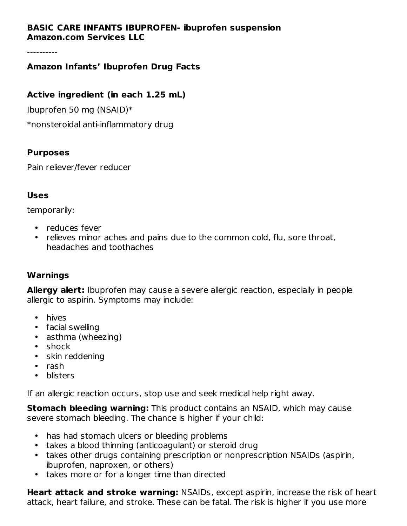## **BASIC CARE INFANTS IBUPROFEN- ibuprofen suspension Amazon.com Services LLC**

----------

# **Amazon Infants' Ibuprofen Drug Facts**

## **Active ingredient (in each 1.25 mL)**

Ibuprofen 50 mg (NSAID)\*

\*nonsteroidal anti-inflammatory drug

#### **Purposes**

Pain reliever/fever reducer

### **Uses**

temporarily:

- reduces fever
- relieves minor aches and pains due to the common cold, flu, sore throat, headaches and toothaches

### **Warnings**

**Allergy alert:** Ibuprofen may cause a severe allergic reaction, especially in people allergic to aspirin. Symptoms may include:

- hives
- facial swelling
- asthma (wheezing)
- shock
- skin reddening
- rash
- blisters

If an allergic reaction occurs, stop use and seek medical help right away.

**Stomach bleeding warning:** This product contains an NSAID, which may cause severe stomach bleeding. The chance is higher if your child:

- has had stomach ulcers or bleeding problems
- takes a blood thinning (anticoagulant) or steroid drug
- takes other drugs containing prescription or nonprescription NSAIDs (aspirin, ibuprofen, naproxen, or others)
- takes more or for a longer time than directed

**Heart attack and stroke warning:** NSAIDs, except aspirin, increase the risk of heart attack, heart failure, and stroke. These can be fatal. The risk is higher if you use more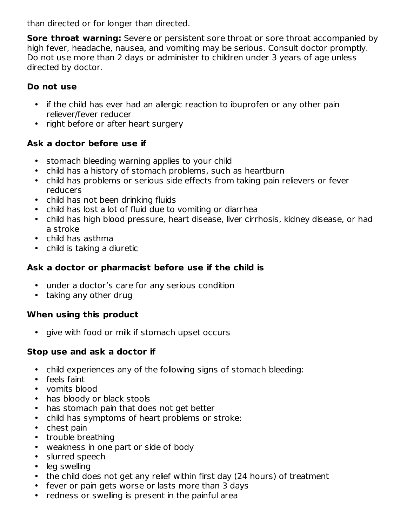than directed or for longer than directed.

**Sore throat warning:** Severe or persistent sore throat or sore throat accompanied by high fever, headache, nausea, and vomiting may be serious. Consult doctor promptly. Do not use more than 2 days or administer to children under 3 years of age unless directed by doctor.

# **Do not use**

- if the child has ever had an allergic reaction to ibuprofen or any other pain reliever/fever reducer
- right before or after heart surgery

# **Ask a doctor before use if**

- stomach bleeding warning applies to your child
- child has a history of stomach problems, such as heartburn
- child has problems or serious side effects from taking pain relievers or fever reducers
- child has not been drinking fluids
- child has lost a lot of fluid due to vomiting or diarrhea
- child has high blood pressure, heart disease, liver cirrhosis, kidney disease, or had a stroke
- child has asthma
- child is taking a diuretic

# **Ask a doctor or pharmacist before use if the child is**

- under a doctor's care for any serious condition
- taking any other drug

# **When using this product**

• give with food or milk if stomach upset occurs

# **Stop use and ask a doctor if**

- child experiences any of the following signs of stomach bleeding:
- feels faint
- vomits blood
- has bloody or black stools
- has stomach pain that does not get better
- child has symptoms of heart problems or stroke:
- chest pain
- trouble breathing
- weakness in one part or side of body
- slurred speech
- leg swelling
- the child does not get any relief within first day (24 hours) of treatment
- fever or pain gets worse or lasts more than 3 days
- redness or swelling is present in the painful area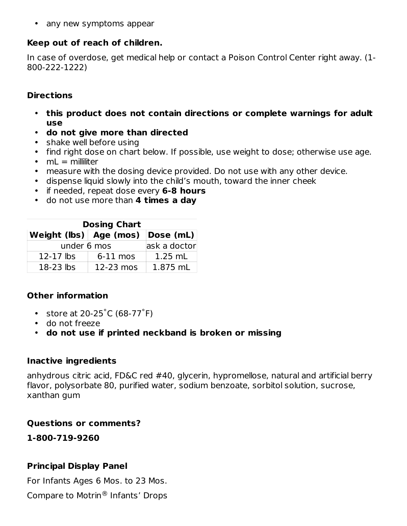• any new symptoms appear

# **Keep out of reach of children.**

In case of overdose, get medical help or contact a Poison Control Center right away. (1- 800-222-1222)

#### **Directions**

- **this product does not contain directions or complete warnings for adult use**
- **do not give more than directed**
- shake well before using
- find right dose on chart below. If possible, use weight to dose; otherwise use age.
- mL = milliliter
- measure with the dosing device provided. Do not use with any other device.
- dispense liquid slowly into the child's mouth, toward the inner cheek
- if needed, repeat dose every **6-8 hours**
- do not use more than **4 times a day**

| <b>Dosing Chart</b>                  |              |           |  |  |  |  |  |
|--------------------------------------|--------------|-----------|--|--|--|--|--|
| Weight (lbs)   Age (mos)   Dose (mL) |              |           |  |  |  |  |  |
| under 6 mos                          | ask a doctor |           |  |  |  |  |  |
| $12-17$ lbs                          | $6-11$ mos   | $1.25$ mL |  |  |  |  |  |
| $18-23$ lbs                          | 12-23 mos    | 1.875 mL  |  |  |  |  |  |

# **Other information**

- store at  $20-25^{\circ}$ C (68-77 $^{\circ}$ F)
- do not freeze
- **do not use if printed neckband is broken or missing**

### **Inactive ingredients**

anhydrous citric acid, FD&C red #40, glycerin, hypromellose, natural and artificial berry flavor, polysorbate 80, purified water, sodium benzoate, sorbitol solution, sucrose, xanthan gum

### **Questions or comments?**

**1-800-719-9260**

### **Principal Display Panel**

For Infants Ages 6 Mos. to 23 Mos.

Compare to Motrin® Infants' Drops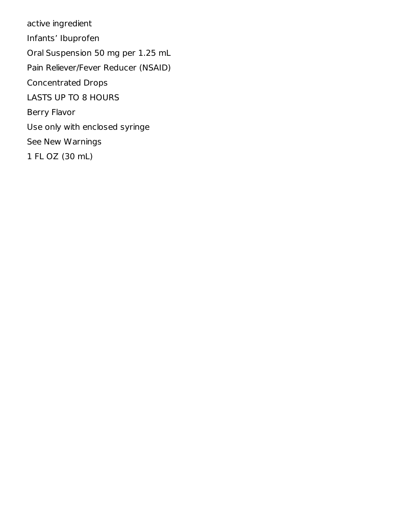active ingredient Infants' Ibuprofen Oral Suspension 50 mg per 1.25 mL Pain Reliever/Fever Reducer (NSAID) Concentrated Drops LASTS UP TO 8 HOURS Berry Flavor Use only with enclosed syringe See New Warnings 1 FL OZ (30 mL)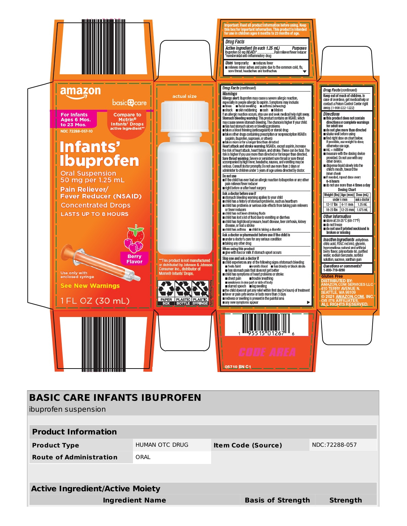

| <b>BASIC CARE INFANTS IBUPROFEN</b>    |                |                           |                          |                 |  |  |  |  |  |
|----------------------------------------|----------------|---------------------------|--------------------------|-----------------|--|--|--|--|--|
| ibuprofen suspension                   |                |                           |                          |                 |  |  |  |  |  |
|                                        |                |                           |                          |                 |  |  |  |  |  |
| <b>Product Information</b>             |                |                           |                          |                 |  |  |  |  |  |
| <b>Product Type</b>                    | HUMAN OTC DRUG | <b>Item Code (Source)</b> |                          | NDC:72288-057   |  |  |  |  |  |
| <b>Route of Administration</b>         | ORAI           |                           |                          |                 |  |  |  |  |  |
|                                        |                |                           |                          |                 |  |  |  |  |  |
|                                        |                |                           |                          |                 |  |  |  |  |  |
| <b>Active Ingredient/Active Moiety</b> |                |                           |                          |                 |  |  |  |  |  |
| <b>Ingredient Name</b>                 |                |                           | <b>Basis of Strength</b> | <b>Strength</b> |  |  |  |  |  |
|                                        |                |                           |                          |                 |  |  |  |  |  |